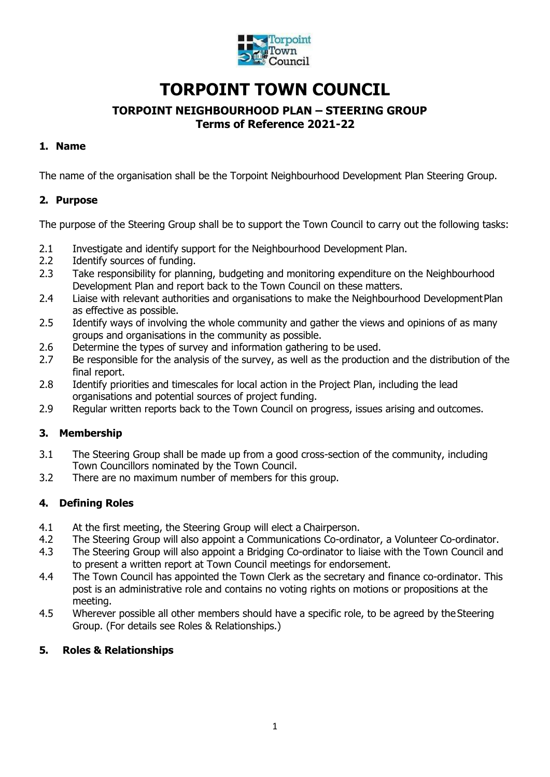

# **TORPOINT TOWN COUNCIL**

# **TORPOINT NEIGHBOURHOOD PLAN – STEERING GROUP Terms of Reference 2021-22**

# **1. Name**

The name of the organisation shall be the Torpoint Neighbourhood Development Plan Steering Group.

# **2. Purpose**

The purpose of the Steering Group shall be to support the Town Council to carry out the following tasks:

- 2.1 Investigate and identify support for the Neighbourhood Development Plan.
- 2.2 Identify sources of funding.
- 2.3 Take responsibility for planning, budgeting and monitoring expenditure on the Neighbourhood Development Plan and report back to the Town Council on these matters.
- 2.4 Liaise with relevant authorities and organisations to make the Neighbourhood DevelopmentPlan as effective as possible.
- 2.5 Identify ways of involving the whole community and gather the views and opinions of as many groups and organisations in the community as possible.
- 2.6 Determine the types of survey and information gathering to be used.
- 2.7 Be responsible for the analysis of the survey, as well as the production and the distribution of the final report.
- 2.8 Identify priorities and timescales for local action in the Project Plan, including the lead organisations and potential sources of project funding.
- 2.9 Regular written reports back to the Town Council on progress, issues arising and outcomes.

## **3. Membership**

- 3.1 The Steering Group shall be made up from a good cross-section of the community, including Town Councillors nominated by the Town Council.
- 3.2 There are no maximum number of members for this group.

## **4. Defining Roles**

- 4.1 At the first meeting, the Steering Group will elect a Chairperson.
- 4.2 The Steering Group will also appoint a Communications Co-ordinator, a Volunteer Co-ordinator.
- 4.3 The Steering Group will also appoint a Bridging Co-ordinator to liaise with the Town Council and to present a written report at Town Council meetings for endorsement.
- 4.4 The Town Council has appointed the Town Clerk as the secretary and finance co-ordinator. This post is an administrative role and contains no voting rights on motions or propositions at the meeting.
- 4.5 Wherever possible all other members should have a specific role, to be agreed by theSteering Group. (For details see Roles & Relationships.)

#### **5. Roles & Relationships**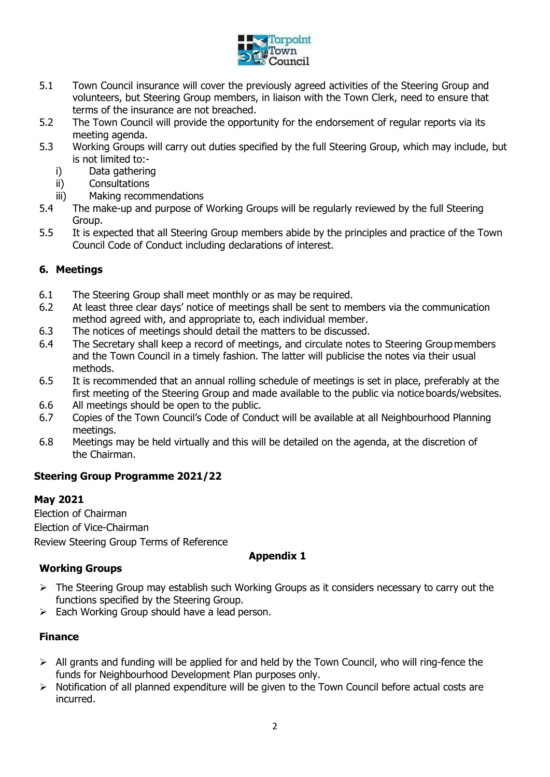

- 5.1 Town Council insurance will cover the previously agreed activities of the Steering Group and volunteers, but Steering Group members, in liaison with the Town Clerk, need to ensure that terms of the insurance are not breached.
- 5.2 The Town Council will provide the opportunity for the endorsement of regular reports via its meeting agenda.
- 5.3 Working Groups will carry out duties specified by the full Steering Group, which may include, but is not limited to:
	- i) Data gathering
	- ii) Consultations
	- iii) Making recommendations
- 5.4 The make-up and purpose of Working Groups will be regularly reviewed by the full Steering Group.
- 5.5 It is expected that all Steering Group members abide by the principles and practice of the Town Council Code of Conduct including declarations of interest.

## **6. Meetings**

- 6.1 The Steering Group shall meet monthly or as may be required.
- 6.2 At least three clear days' notice of meetings shall be sent to members via the communication method agreed with, and appropriate to, each individual member.
- 6.3 The notices of meetings should detail the matters to be discussed.
- 6.4 The Secretary shall keep a record of meetings, and circulate notes to Steering Group members and the Town Council in a timely fashion. The latter will publicise the notes via their usual methods.
- 6.5 It is recommended that an annual rolling schedule of meetings is set in place, preferably at the first meeting of the Steering Group and made available to the public via notice boards/websites.
- 6.6 All meetings should be open to the public.
- 6.7 Copies of the Town Council's Code of Conduct will be available at all Neighbourhood Planning meetings.
- 6.8 Meetings may be held virtually and this will be detailed on the agenda, at the discretion of the Chairman.

## **Steering Group Programme 2021/22**

#### **May 2021**

Election of Chairman Election of Vice-Chairman Review Steering Group Terms of Reference

#### **Appendix 1**

## **Working Groups**

- $\triangleright$  The Steering Group may establish such Working Groups as it considers necessary to carry out the functions specified by the Steering Group.
- $\triangleright$  Each Working Group should have a lead person.

## **Finance**

- $\triangleright$  All grants and funding will be applied for and held by the Town Council, who will ring-fence the funds for Neighbourhood Development Plan purposes only.
- $\triangleright$  Notification of all planned expenditure will be given to the Town Council before actual costs are incurred.